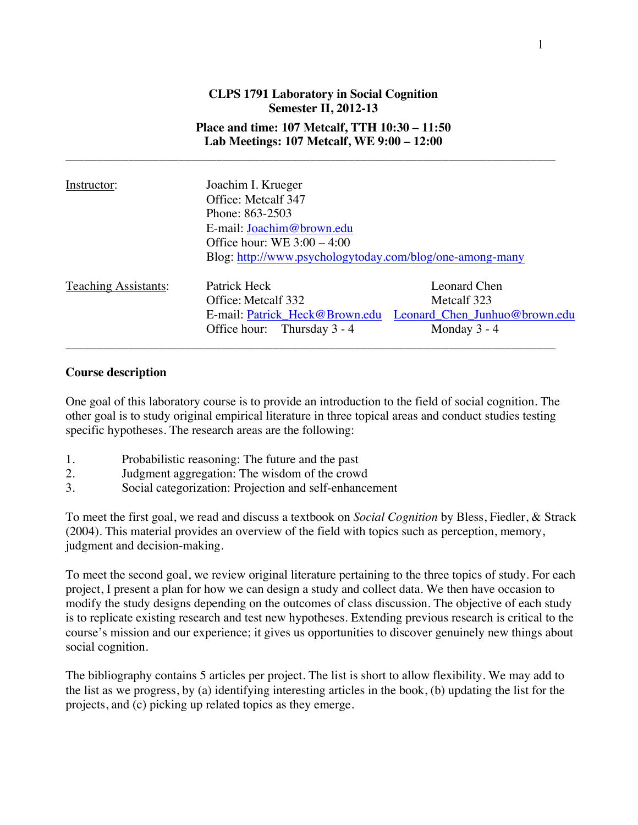# **CLPS 1791 Laboratory in Social Cognition Semester II, 2012-13 Place and time: 107 Metcalf, TTH 10:30 – 11:50 Lab Meetings: 107 Metcalf, WE 9:00 – 12:00**

\_\_\_\_\_\_\_\_\_\_\_\_\_\_\_\_\_\_\_\_\_\_\_\_\_\_\_\_\_\_\_\_\_\_\_\_\_\_\_\_\_\_\_\_\_\_\_\_\_\_\_\_\_\_\_\_\_\_\_\_\_\_\_\_\_\_\_\_\_\_\_\_\_\_\_\_\_\_

| Instructor:                 | Joachim I. Krueger<br>Office: Metcalf 347<br>Phone: 863-2503<br>E-mail: Joachim@brown.edu<br>Office hour: WE $3:00 - 4:00$ |                                                                                |
|-----------------------------|----------------------------------------------------------------------------------------------------------------------------|--------------------------------------------------------------------------------|
|                             | Blog: http://www.psychologytoday.com/blog/one-among-many                                                                   |                                                                                |
| <b>Teaching Assistants:</b> | Patrick Heck<br>Office: Metcalf 332<br>E-mail: Patrick Heck@Brown.edu<br>Thursday 3 - 4<br>Office hour:                    | Leonard Chen<br>Metcalf 323<br>Leonard Chen Junhuo@brown.edu<br>Monday $3 - 4$ |

### **Course description**

One goal of this laboratory course is to provide an introduction to the field of social cognition. The other goal is to study original empirical literature in three topical areas and conduct studies testing specific hypotheses. The research areas are the following:

- 1. Probabilistic reasoning: The future and the past
- 2. Judgment aggregation: The wisdom of the crowd
- 3. Social categorization: Projection and self-enhancement

To meet the first goal, we read and discuss a textbook on *Social Cognition* by Bless, Fiedler, & Strack (2004). This material provides an overview of the field with topics such as perception, memory, judgment and decision-making.

To meet the second goal, we review original literature pertaining to the three topics of study. For each project, I present a plan for how we can design a study and collect data. We then have occasion to modify the study designs depending on the outcomes of class discussion. The objective of each study is to replicate existing research and test new hypotheses. Extending previous research is critical to the course's mission and our experience; it gives us opportunities to discover genuinely new things about social cognition.

The bibliography contains 5 articles per project. The list is short to allow flexibility. We may add to the list as we progress, by (a) identifying interesting articles in the book, (b) updating the list for the projects, and (c) picking up related topics as they emerge.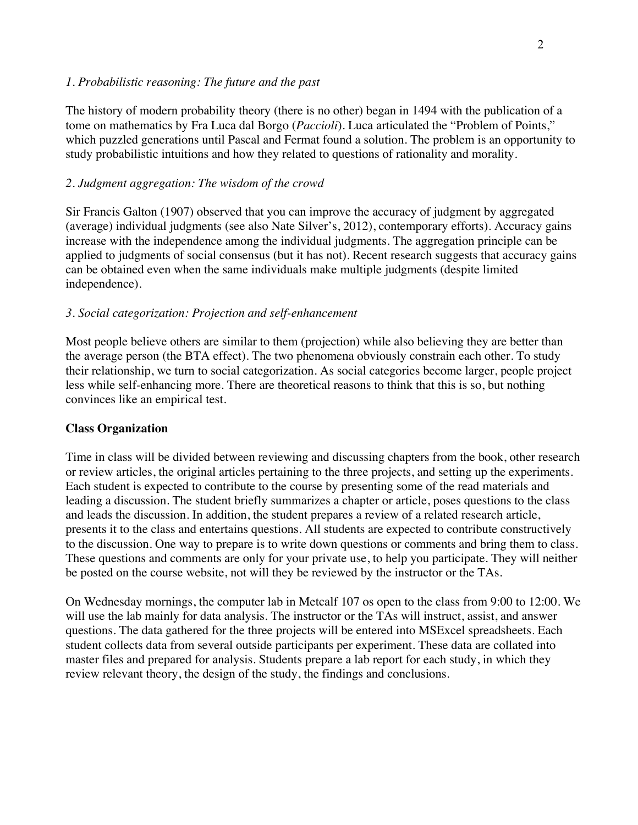## *1. Probabilistic reasoning: The future and the past*

The history of modern probability theory (there is no other) began in 1494 with the publication of a tome on mathematics by Fra Luca dal Borgo (*Paccioli*). Luca articulated the "Problem of Points," which puzzled generations until Pascal and Fermat found a solution. The problem is an opportunity to study probabilistic intuitions and how they related to questions of rationality and morality.

# *2. Judgment aggregation: The wisdom of the crowd*

Sir Francis Galton (1907) observed that you can improve the accuracy of judgment by aggregated (average) individual judgments (see also Nate Silver's, 2012), contemporary efforts). Accuracy gains increase with the independence among the individual judgments. The aggregation principle can be applied to judgments of social consensus (but it has not). Recent research suggests that accuracy gains can be obtained even when the same individuals make multiple judgments (despite limited independence).

# *3. Social categorization: Projection and self-enhancement*

Most people believe others are similar to them (projection) while also believing they are better than the average person (the BTA effect). The two phenomena obviously constrain each other. To study their relationship, we turn to social categorization. As social categories become larger, people project less while self-enhancing more. There are theoretical reasons to think that this is so, but nothing convinces like an empirical test.

## **Class Organization**

Time in class will be divided between reviewing and discussing chapters from the book, other research or review articles, the original articles pertaining to the three projects, and setting up the experiments. Each student is expected to contribute to the course by presenting some of the read materials and leading a discussion. The student briefly summarizes a chapter or article, poses questions to the class and leads the discussion. In addition, the student prepares a review of a related research article, presents it to the class and entertains questions. All students are expected to contribute constructively to the discussion. One way to prepare is to write down questions or comments and bring them to class. These questions and comments are only for your private use, to help you participate. They will neither be posted on the course website, not will they be reviewed by the instructor or the TAs.

On Wednesday mornings, the computer lab in Metcalf 107 os open to the class from 9:00 to 12:00. We will use the lab mainly for data analysis. The instructor or the TAs will instruct, assist, and answer questions. The data gathered for the three projects will be entered into MSExcel spreadsheets. Each student collects data from several outside participants per experiment. These data are collated into master files and prepared for analysis. Students prepare a lab report for each study, in which they review relevant theory, the design of the study, the findings and conclusions.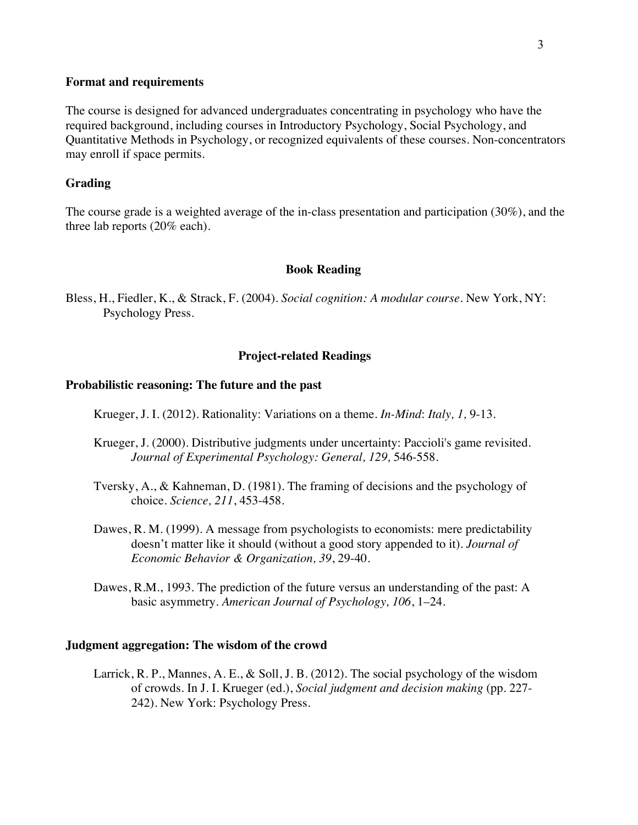#### **Format and requirements**

The course is designed for advanced undergraduates concentrating in psychology who have the required background, including courses in Introductory Psychology, Social Psychology, and Quantitative Methods in Psychology, or recognized equivalents of these courses. Non-concentrators may enroll if space permits.

## **Grading**

The course grade is a weighted average of the in-class presentation and participation (30%), and the three lab reports (20% each).

#### **Book Reading**

Bless, H., Fiedler, K., & Strack, F. (2004). *Social cognition: A modular course.* New York, NY: Psychology Press.

### **Project-related Readings**

## **Probabilistic reasoning: The future and the past**

Krueger, J. I. (2012). Rationality: Variations on a theme. *In-Mind*: *Italy, 1,* 9-13.

- Krueger, J. (2000). Distributive judgments under uncertainty: Paccioli's game revisited. *Journal of Experimental Psychology: General, 129,* 546-558.
- Tversky, A., & Kahneman, D. (1981). The framing of decisions and the psychology of choice. *Science, 211*, 453-458.
- Dawes, R. M. (1999). A message from psychologists to economists: mere predictability doesn't matter like it should (without a good story appended to it). *Journal of Economic Behavior & Organization, 39*, 29-40.
- Dawes, R.M., 1993. The prediction of the future versus an understanding of the past: A basic asymmetry. *American Journal of Psychology, 106*, 1–24.

#### **Judgment aggregation: The wisdom of the crowd**

Larrick, R. P., Mannes, A. E., & Soll, J. B. (2012). The social psychology of the wisdom of crowds. In J. I. Krueger (ed.), *Social judgment and decision making* (pp. 227- 242). New York: Psychology Press.